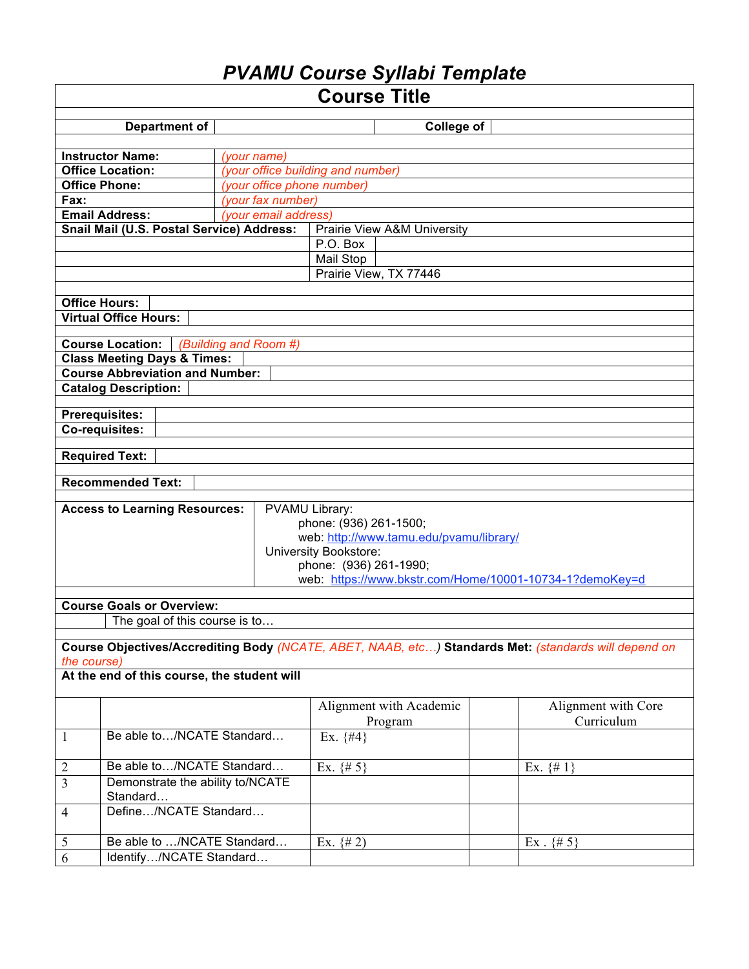# *PVAMU Course Syllabi Template*

| <b>Course Title</b>                                                                                                 |                                                              |                   |                         |                |                     |  |  |
|---------------------------------------------------------------------------------------------------------------------|--------------------------------------------------------------|-------------------|-------------------------|----------------|---------------------|--|--|
| <b>Department of</b><br><b>College of</b>                                                                           |                                                              |                   |                         |                |                     |  |  |
|                                                                                                                     |                                                              |                   |                         |                |                     |  |  |
|                                                                                                                     | <b>Instructor Name:</b>                                      | (your name)       |                         |                |                     |  |  |
|                                                                                                                     | (your office building and number)<br><b>Office Location:</b> |                   |                         |                |                     |  |  |
| <b>Office Phone:</b><br>(your office phone number)                                                                  |                                                              |                   |                         |                |                     |  |  |
| Fax:                                                                                                                |                                                              | (your fax number) |                         |                |                     |  |  |
| <b>Email Address:</b><br>(your email address)                                                                       |                                                              |                   |                         |                |                     |  |  |
| Snail Mail (U.S. Postal Service) Address:<br>Prairie View A&M University                                            |                                                              |                   |                         |                |                     |  |  |
|                                                                                                                     | P.O. Box                                                     |                   |                         |                |                     |  |  |
|                                                                                                                     | Mail Stop                                                    |                   |                         |                |                     |  |  |
| Prairie View, TX 77446                                                                                              |                                                              |                   |                         |                |                     |  |  |
|                                                                                                                     |                                                              |                   |                         |                |                     |  |  |
| <b>Office Hours:</b>                                                                                                |                                                              |                   |                         |                |                     |  |  |
| <b>Virtual Office Hours:</b>                                                                                        |                                                              |                   |                         |                |                     |  |  |
|                                                                                                                     |                                                              |                   |                         |                |                     |  |  |
| <b>Course Location:</b><br>(Building and Room #)<br><b>Class Meeting Days &amp; Times:</b>                          |                                                              |                   |                         |                |                     |  |  |
|                                                                                                                     | <b>Course Abbreviation and Number:</b>                       |                   |                         |                |                     |  |  |
|                                                                                                                     | <b>Catalog Description:</b>                                  |                   |                         |                |                     |  |  |
|                                                                                                                     |                                                              |                   |                         |                |                     |  |  |
|                                                                                                                     | <b>Prerequisites:</b>                                        |                   |                         |                |                     |  |  |
|                                                                                                                     | Co-requisites:                                               |                   |                         |                |                     |  |  |
|                                                                                                                     |                                                              |                   |                         |                |                     |  |  |
|                                                                                                                     | <b>Required Text:</b>                                        |                   |                         |                |                     |  |  |
|                                                                                                                     | <b>Recommended Text:</b>                                     |                   |                         |                |                     |  |  |
|                                                                                                                     |                                                              |                   |                         |                |                     |  |  |
| PVAMU Library:<br><b>Access to Learning Resources:</b>                                                              |                                                              |                   |                         |                |                     |  |  |
| phone: (936) 261-1500;                                                                                              |                                                              |                   |                         |                |                     |  |  |
|                                                                                                                     | web: http://www.tamu.edu/pvamu/library/                      |                   |                         |                |                     |  |  |
|                                                                                                                     |                                                              |                   | University Bookstore:   |                |                     |  |  |
|                                                                                                                     | phone: (936) 261-1990;                                       |                   |                         |                |                     |  |  |
| web: https://www.bkstr.com/Home/10001-10734-1?demoKey=d                                                             |                                                              |                   |                         |                |                     |  |  |
| <b>Course Goals or Overview:</b>                                                                                    |                                                              |                   |                         |                |                     |  |  |
|                                                                                                                     | The goal of this course is to                                |                   |                         |                |                     |  |  |
|                                                                                                                     |                                                              |                   |                         |                |                     |  |  |
|                                                                                                                     |                                                              |                   |                         |                |                     |  |  |
| Course Objectives/Accrediting Body (NCATE, ABET, NAAB, etc) Standards Met: (standards will depend on<br>the course) |                                                              |                   |                         |                |                     |  |  |
| At the end of this course, the student will                                                                         |                                                              |                   |                         |                |                     |  |  |
|                                                                                                                     |                                                              |                   |                         |                |                     |  |  |
|                                                                                                                     |                                                              |                   | Alignment with Academic |                | Alignment with Core |  |  |
|                                                                                                                     |                                                              |                   | Program                 |                | Curriculum          |  |  |
| $\mathbf{1}$                                                                                                        | Be able to/NCATE Standard                                    |                   | Ex. $\{#4\}$            |                |                     |  |  |
|                                                                                                                     |                                                              |                   |                         |                |                     |  |  |
| $\overline{2}$                                                                                                      | Be able to/NCATE Standard                                    |                   | Ex. $\{# 5\}$           | Ex. $\{\# 1\}$ |                     |  |  |
| $\overline{3}$                                                                                                      | Demonstrate the ability to/NCATE<br>Standard                 |                   |                         |                |                     |  |  |
| $\overline{4}$                                                                                                      | Define/NCATE Standard                                        |                   |                         |                |                     |  |  |
| $\sqrt{5}$                                                                                                          | Be able to /NCATE Standard<br>Ex. $\{# 2\}$<br>$Ex. \{# 5\}$ |                   |                         |                |                     |  |  |
| $\overline{6}$                                                                                                      | Identify/NCATE Standard                                      |                   |                         |                |                     |  |  |
|                                                                                                                     |                                                              |                   |                         |                |                     |  |  |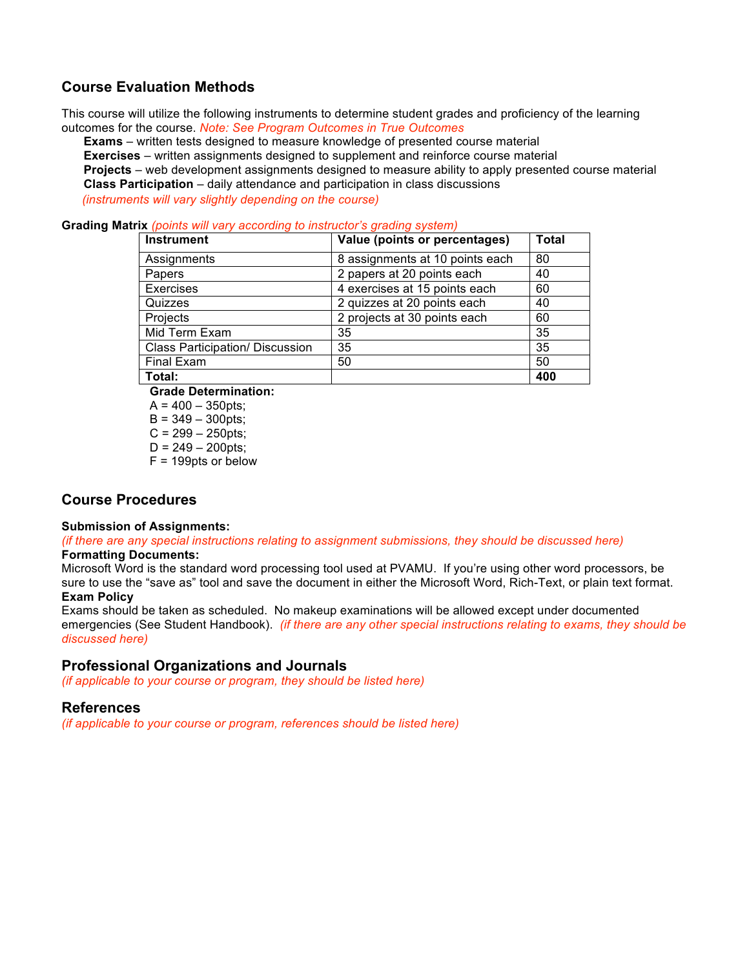### **Course Evaluation Methods**

This course will utilize the following instruments to determine student grades and proficiency of the learning outcomes for the course. *Note: See Program Outcomes in True Outcomes*

**Exams** – written tests designed to measure knowledge of presented course material **Exercises** – written assignments designed to supplement and reinforce course material **Projects** – web development assignments designed to measure ability to apply presented course material **Class Participation** – daily attendance and participation in class discussions

 *(instruments will vary slightly depending on the course)*

**Grading Matrix** *(points will vary according to instructor's grading system)*

| <b>Instrument</b>                      | Value (points or percentages)   | <b>Total</b> |
|----------------------------------------|---------------------------------|--------------|
| Assignments                            | 8 assignments at 10 points each | 80           |
| Papers                                 | 2 papers at 20 points each      | 40           |
| Exercises                              | 4 exercises at 15 points each   | 60           |
| Quizzes                                | 2 quizzes at 20 points each     | 40           |
| Projects                               | 2 projects at 30 points each    | 60           |
| Mid Term Exam                          | 35                              | 35           |
| <b>Class Participation/ Discussion</b> | 35                              | 35           |
| <b>Final Exam</b>                      | 50                              | 50           |
| Total:                                 |                                 | 400          |

**Grade Determination:**

 $A = 400 - 350$ pts;  $B = 349 - 300$  pts:

 $C = 299 - 250$ pts;

 $D = 249 - 200$ pts;

F = 199pts or below

### **Course Procedures**

#### **Submission of Assignments:**

*(if there are any special instructions relating to assignment submissions, they should be discussed here)*

#### **Formatting Documents:**

Microsoft Word is the standard word processing tool used at PVAMU. If you're using other word processors, be sure to use the "save as" tool and save the document in either the Microsoft Word, Rich-Text, or plain text format. **Exam Policy**

Exams should be taken as scheduled. No makeup examinations will be allowed except under documented emergencies (See Student Handbook). *(if there are any other special instructions relating to exams, they should be discussed here)*

#### **Professional Organizations and Journals**

*(if applicable to your course or program, they should be listed here)*

#### **References**

*(if applicable to your course or program, references should be listed here)*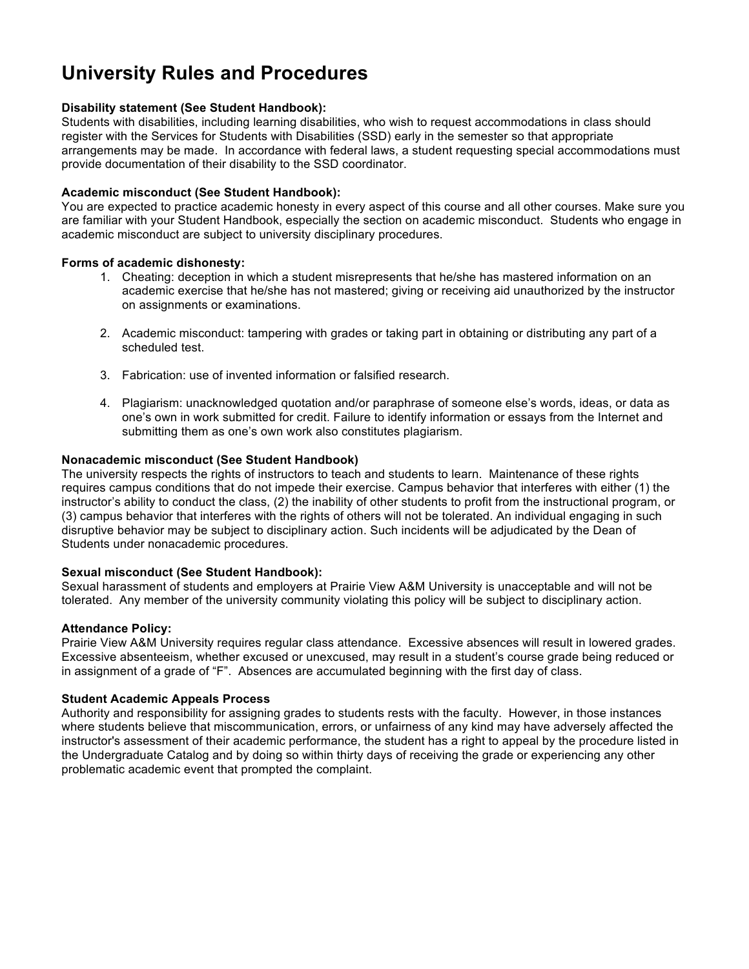# **University Rules and Procedures**

#### **Disability statement (See Student Handbook):**

Students with disabilities, including learning disabilities, who wish to request accommodations in class should register with the Services for Students with Disabilities (SSD) early in the semester so that appropriate arrangements may be made. In accordance with federal laws, a student requesting special accommodations must provide documentation of their disability to the SSD coordinator.

#### **Academic misconduct (See Student Handbook):**

You are expected to practice academic honesty in every aspect of this course and all other courses. Make sure you are familiar with your Student Handbook, especially the section on academic misconduct. Students who engage in academic misconduct are subject to university disciplinary procedures.

#### **Forms of academic dishonesty:**

- 1. Cheating: deception in which a student misrepresents that he/she has mastered information on an academic exercise that he/she has not mastered; giving or receiving aid unauthorized by the instructor on assignments or examinations.
- 2. Academic misconduct: tampering with grades or taking part in obtaining or distributing any part of a scheduled test.
- 3. Fabrication: use of invented information or falsified research.
- 4. Plagiarism: unacknowledged quotation and/or paraphrase of someone else's words, ideas, or data as one's own in work submitted for credit. Failure to identify information or essays from the Internet and submitting them as one's own work also constitutes plagiarism.

#### **Nonacademic misconduct (See Student Handbook)**

The university respects the rights of instructors to teach and students to learn. Maintenance of these rights requires campus conditions that do not impede their exercise. Campus behavior that interferes with either (1) the instructor's ability to conduct the class, (2) the inability of other students to profit from the instructional program, or (3) campus behavior that interferes with the rights of others will not be tolerated. An individual engaging in such disruptive behavior may be subject to disciplinary action. Such incidents will be adjudicated by the Dean of Students under nonacademic procedures.

#### **Sexual misconduct (See Student Handbook):**

Sexual harassment of students and employers at Prairie View A&M University is unacceptable and will not be tolerated. Any member of the university community violating this policy will be subject to disciplinary action.

#### **Attendance Policy:**

Prairie View A&M University requires regular class attendance. Excessive absences will result in lowered grades. Excessive absenteeism, whether excused or unexcused, may result in a student's course grade being reduced or in assignment of a grade of "F". Absences are accumulated beginning with the first day of class.

#### **Student Academic Appeals Process**

Authority and responsibility for assigning grades to students rests with the faculty. However, in those instances where students believe that miscommunication, errors, or unfairness of any kind may have adversely affected the instructor's assessment of their academic performance, the student has a right to appeal by the procedure listed in the Undergraduate Catalog and by doing so within thirty days of receiving the grade or experiencing any other problematic academic event that prompted the complaint.